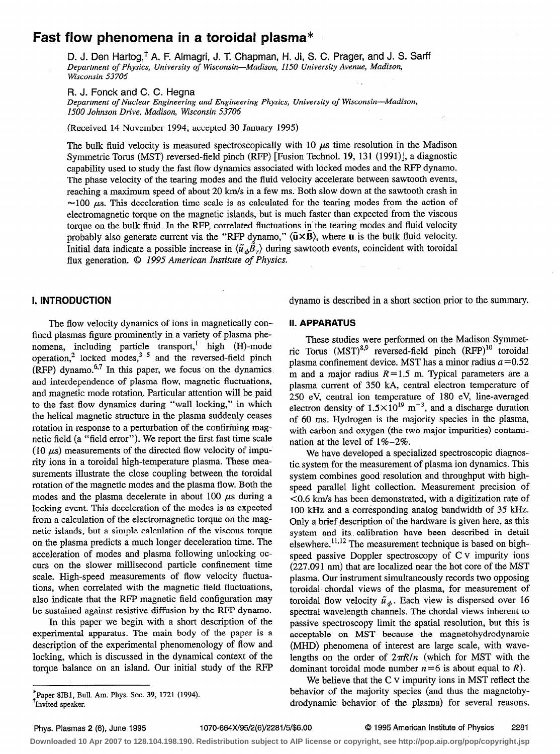# Fast flow phenomena in a toroidal plasma\*

D. J. Den Hartog,<sup>†</sup> A. F. Almagri, J. T. Chapman, H. Ji, S. C. Prager, and J. S. Sarff Departinent of Physics, University of Wisconsin-Madison, 1150 University Avenue, Madison, Wisconsin 53706

R. J. Fonck and C. C. Hegna

Department of Nuclear Engineering and Engineering Physics, University of Wisconsin-Madison, 1500 Johnson Drive, Madison, Wisconsin 53706

(Received 14 November 1994; accepted 30 January 1995)

The bulk fluid velocity is measured spectroscopically with 10  $\mu$ s time resolution in the Madison Symmetric Torus (MST) reversed-field pinch (RFP) [Fusion Technol. 19, 13 1 (1991)], a diagnostic capability used to study the fast flow dynamics associated with locked modes and the RFP dynamo. The phase velocity of the tearing modes and the fluid velocity accelerate between sawtooth events, reaching a maximum speed of about 20 km/s in a few ms. Both slow down at the sawtooth crash in  $\approx$ 100  $\mu$ s. This deceleration time scale is as calculated for the tearing modes from the action of electromagnetic torque on the magnetic islands, but is much faster than expected from the viscous torque on the bulk fluid. In the RFP, correlated fluctuations in the tearing modes and fluid velocity probably also generate current via the "RFP dynamo,"  $\langle \tilde{u} \times B \rangle$ , where u is the bulk fluid velocity. Initial data indicate a possible increase in  $\langle \tilde{u}_A \tilde{B}_\tau \rangle$  during sawtooth events, coincident with toroidal flux generation. © 1995 American Institute of Physics.

1. INTRODUCTION dynamo is described in a short section prior to the summary.

The flow velocity dynamics of ions in magnetically confined plasmas figure prominently in a variety of plasma phenomena, including particle transport,' high (H)-mode operation, locked modes,<sup>3-3</sup> and the reversed-field pinch  $(RFP)$  dynamo.<sup>6,7</sup> In this paper, we focus on the dynamics and interdependence of plasma flow, magnetic fluctuations, and magnetic mode rotation. Particular attention will be paid to the fast flow dynamics during "wall locking," in which the helical magnetic structure in the plasma suddenly ceases rotation in response to a perturbation of the confirming magnetic field (a "field error"). We report the first fast time scale (10  $\mu$ s) measurements of the directed flow velocity of impurity ions in a toroidal high-temperature plasma. These measurements illustrate the close coupling between the toroidal rotation of the magnetic modes and the plasma flow. Both the modes and the plasma decelerate in about 100  $\mu$ s during a locking event. This deceleration of the modes is as expected from a calculation of the electromagnetic torque on the magnetic islands, but a simple calculation of the viscous torque on the plasma predicts a much longer deceleration time. The acceleration of modes and plasma following unlocking occurs on the slower millisecond particle confinement time scale. High-speed measurements of flow velocity fluctuations, when correlated with the magnetic field fluctuations, also indicate that the RFP magnetic field configuration may be sustained against resistive diffusion by the RFP dynamo.

In this paper we begin with a short description of the experimental apparatus. The main body of the paper is a description of the experimental phenomenology of flow and locking, which is discussed in the dynamical context of the torque balance on an island. Our initial study of the RFP II. APPARATUS

These studies were performed on the Madison Symmetric Torus  $(MST)^{8,9}$  reversed-field pinch  $(RFP)^{10}$  toroidal plasma confinement device. MST has a minor radius  $a = 0.52$ m and a major radius  $R=1.5$  m. Typical parameters are a plasma current of 350 kA, central electron temperature of 250 eV, central ion temperature of 180 eV, line-averaged electron density of  $1.5 \times 10^{19}$  m<sup>-3</sup>, and a discharge duration of 60 ms. Hydrogen is the majority species in the plasma, with carbon and oxygen (the two major impurities) contamination at the level of l%-2%.

We have developed a specialized spectroscopic diagnostic, system for the measurement of plasma ion dynamics. This system combines good resolution and throughput with highspeed parallel light collection. Measurement precision of CO.6 km/s has been demonstrated, with a digitization rate of 100 kHz and a corresponding analog bandwidth of 35 kHz. Only a brief description of the hardware is given here, as this system and its calibration have been described in detail elsewhere.<sup>11,12</sup> The measurement technique is based on highspeed passive Doppler spectroscopy of C v impurity ions (227.091 nm) that are localized near the hot core of the MST plasma. Our instrument simultaneously records two opposing toroidal chordal views of the plasma, for measurement of toroidal flow velocity  $\tilde{u}_{\phi}$ . Each view is dispersed over 16 spectral wavelength channels. The chordal views inherent to passive spectroscopy limit the spatial resolution, but this is acceptable on MST because the magnetohydrodynamic (MHD) phenomena of interest are large scale, with wavelengths on the order of  $2\pi R/n$  (which for MST with the dominant toroidal mode number  $n=6$  is about equal to R).

We believe that the C v impurity ions in MST refect the behavior of the majority species (and thus the magnetohydrodynamic behavior of the plasma) for several reasons.

 $*$ Paper 8IB1, Bull. Am. Phys. Soc. 39, 1721 (1994). 'Invited speaker.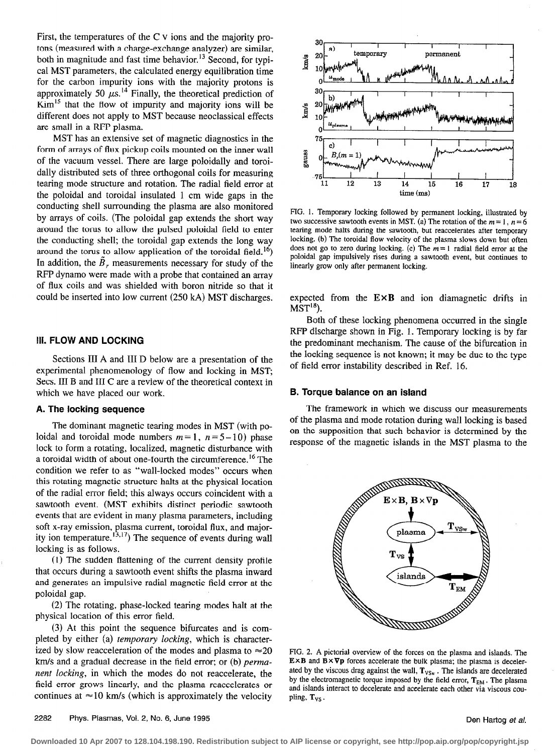First, the temperatures of the C v ions and the majority protons (measured with a charge-exchange analyzer) are similar, both in magnitude and fast time behavior.<sup>13</sup> Second, for typical MST parameters, the calculated energy equilibration time for the carbon impurity ions with the majority protons is approximately 50  $\mu$ s.<sup>14</sup> Finally, the theoretical prediction of  $Kim<sup>15</sup> that the flow of impurity and majority ions will be$ different does not apply to MST because neoclassical effects are small in a RFP plasma.

MST has an extensive set of magnetic diagnostics in the form of arrays of flux pickup coils mounted on the inner wall of the vacuum vessel. There are large poloidally and toroidally distributed sets of three orthogonal coils for measuring tearing mode structure and rotation. The radial field error at the poloidal and toroidal insulated 1 cm wide gaps in the conducting shell surrounding the plasma are also monitored by arrays of coils. (The poloidal gap extends the short way around the torus to allow the pulsed poloidal field to enter the conducting shell; the toroidal gap extends the long way around the torus to allow application of the toroidal field.<sup>16</sup>) In addition, the  $\ddot{B}_r$ , measurements necessary for study of the RFP dynamo were made with a probe that contained an array of flux coils and was shielded with boron nitride so that it could be inserted into low current (250 kA) MST discharges.

#### **III. FLOW AND LOCKING**

Sections III A and III D below are a presentation of the experimental phenomenology of flow and locking in MST; Secs. III B and III C are a review of the theoretical context in which we have placed our work.

### A. The locking sequence

The dominant magnetic tearing modes in MST (with poloidal and toroidal mode numbers  $m=1$ ,  $n=5-10$ ) phase lock to form a rotating, localized, magnetic disturbance with a toroidal width of about one-fourth the circumference.<sup>16</sup> The condition we refer to as "wall-locked modes" occurs when this rotating magnetic structure halts at the physical location of the radial error field; this always occurs coincident with a sawtooth event. (MST exhibits distinct periodic sawtooth events that are evident in many plasma parameters, including soft x-ray emission, plasma current, toroidal flux, and majority ion temperature.  $t_{3,17}$ ) The sequence of events during wall locking is as follows.

(1) The sudden flattening of the current density profile that occurs during a sawtooth event shifts the plasma inward and generates an impulsive radial magnetic field error at the poloidal gap.

(2) The rotating, phase-locked tearing modes halt at the physical location of this error field.

(3) At this point the sequence bifurcates and is completed by either (a) temporary locking, which is characterized by slow reacceleration of the modes and plasma to  $\approx 20$ km/s and a gradual decrease in the field error; or (b) permanent locking, in which the modes do not reaccelerate, the field error grows linearly, and the plasma reaccelerates or continues at  $\approx$ 10 km/s (which is approximately the velocity



FIG. 1. Temporary locking followed by permanent locking, illustrated by two successive sawtooth events in MST, (a) The rotation of the  $m = 1$ ,  $n = 6$ tearing mode halts during the sawtooth, but reaccelerates after temporary locking. (b) The toroidal flow velocity of the plasma slows down but often does not go to zero during locking. (c) The  $m=1$  radial field error at the poloidal gap impulsively rises during a sawtooth event, but continues to linearly grow only after permanent locking.

expected from the  $E \times B$  and ion diamagnetic drifts in  $MST^{18}$ ).

Both of these locking phenomena occurred in the single RFP discharge shown in Fig. 1. Temporary locking is by far the predominant mechanism. The cause of the bifurcation in the locking sequence is not known; it may be due to the type of field error instability described in Ref. 16.

#### B. Torque balance on an island

The framework in which we discuss our measurements of the plasma and mode rotation during wall locking is based on the supposition that such behavior is determined by the response of the magnetic islands in the MST plasma to the



FIG. 2. A pictorial overview of the forces on the plasma and islands. The  $E \times B$  and  $\overline{B} \times \nabla p$  forces accelerate the bulk plasma; the plasma is decelerated by the viscous drag against the wall,  $T_{VSw}$ . The islands are decelerated by the electromagnetic torque imposed by the field error,  $T_{EM}$ . The plasma and islands interact to decelerate and accelerate each other via viscous coupling, T<sub>VS</sub>.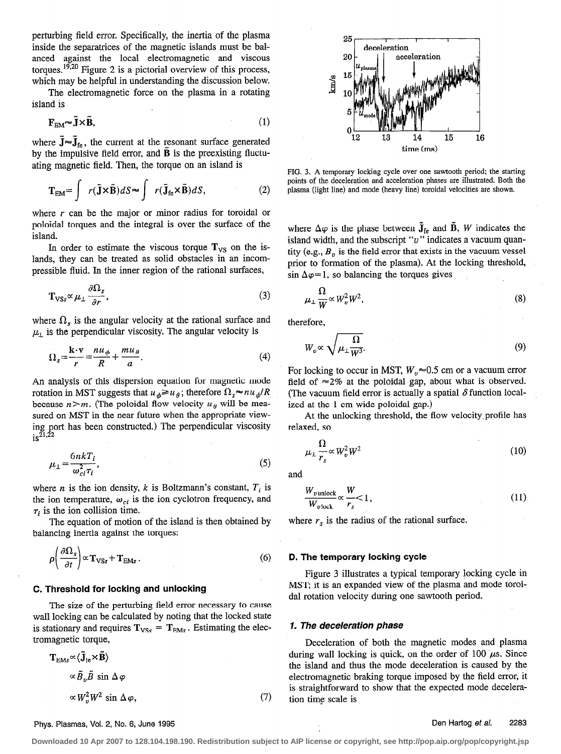perturbing field error. Specifically, the inertia of the plasma inside the separatrices of the magnetic islands must be balanced against the local electromagnetic and viscous torques.<sup>19,20</sup> Figure 2 is a pictorial overview of this process, which may be helpful in understanding the discussion below.

The electromagnetic force on the plasma in a rotating island is

$$
\mathbf{F}_{\text{EM}} \sim \tilde{\mathbf{J}} \times \tilde{\mathbf{B}},\tag{1}
$$

where  $\mathbf{J} \approx \mathbf{J}_{\text{fe}}$ , the current at the resonant surface generated by the impulsive field error, and  $\bf{B}$  is the preexisting fluctuating magnetic field. Then, the torque on an island is

$$
\mathbf{T}_{EM} = \int r(\tilde{\mathbf{J}} \times \tilde{\mathbf{B}}) dS \approx \int r(\tilde{\mathbf{J}}_{fe} \times \tilde{\mathbf{B}}) dS,
$$
 (2)

where  $r$  can be the major or minor radius for toroidal or poloidal torques and the integral is over the surface of the island.

In order to estimate the viscous torque  $T_{VS}$  on the islands, they can be treated as solid obstacles in an incompressible fluid. In the inner region of the rational surfaces,

$$
\mathbf{T}_{\text{VSS}} \propto \mu_{\perp} \frac{\partial \Omega_s}{\partial r},\tag{3}
$$

where  $\Omega_s$  is the angular velocity at the rational surface and  $\mu_{\perp}$  is the perpendicular viscosity. The angular velocity is

$$
\Omega_s = \frac{\mathbf{k} \cdot \mathbf{v}}{r} = \frac{n u_\phi}{R} + \frac{m u_\theta}{a}.
$$
\n(4)

An analysis of this dispersion equation for magnetic mode rotation in MST suggests that  $u_{\phi} \geq u_{\theta}$ ; therefore  $\Omega_s \approx nu_{\phi}/R$ because  $n>m$ . (The poloidal flow velocity  $u_{\theta}$  will be measured on MST in the near future when the appropriate viewing port has been constructed.) The perpendicular viscosity  $is^{\frac{5}{21,22}}$ 

$$
\mu_{\perp} = \frac{6nkT_i}{\omega_{ci}^2 \tau_i},\tag{5}
$$

where *n* is the ion density, *k* is Boltzmann's constant,  $T_i$  is the ion temperature,  $\omega_{ci}$  is the ion cyclotron frequency, and  $\tau_i$  is the ion collision time.

The equation of motion of the island is then obtained by balancing inertia against the torques:

$$
\rho \left( \frac{\partial \Omega_s}{\partial t} \right) \propto \mathbf{T}_{\text{VSS}} + \mathbf{T}_{\text{EMs}} \,. \tag{6}
$$

#### C. Threshold for locking and unlocking

The size of the perturbing field error necessary to cause wall locking can be calculated by noting that the locked state is stationary and requires  $T_{VSS} = T_{EMs}$ . Estimating the electromagnetic torque,

$$
\mathbf{T}_{\text{EMs}} \propto \langle \tilde{\mathbf{J}}_{\text{fe}} \times \tilde{\mathbf{B}} \rangle
$$
  
 
$$
\propto \tilde{B}_v \tilde{B} \sin \Delta \varphi
$$
  
 
$$
\propto W_v^2 W^2 \sin \Delta \varphi,
$$
 (7)



FIG. 3. A temporary locking cycle over one sawtooth period; the starting points of the deceleration and acceleration phases are illustrated. Both the plasma (light line) and mode (heavy line) toroidal velocities are shown.

where  $\Delta \varphi$  is the phase between  $\tilde{J}_{fe}$  and  $\tilde{B}$ , W indicates the island width, and the subscript " $v$ " indicates a vacuum quantity (e.g.,  $B<sub>v</sub>$  is the field error that exists in the vacuum vessel prior to formation of the plasma). At the locking threshold, sin  $\Delta \varphi = 1$ , so balancing the torques gives

$$
\mu_{\perp} \frac{\Omega}{W} \propto W_v^2 W^2,\tag{8}
$$

therefore,

$$
W_v \propto \sqrt{\mu_\perp \frac{\Omega}{W^3}}.\tag{9}
$$

For locking to occur in MST,  $W_p \approx 0.5$  cm or a vacuum error field of  $\approx$  2% at the poloidal gap, about what is observed. (The vacuum field error is actually a spatial  $\delta$  function localized at the 1 cm wide poloidal gap.)

At the unlocking threshold, the flow velocity,profile has relaxed, so

$$
\mu_{\perp} \frac{\Omega}{r_s} \propto W_v^2 W^2 \tag{10}
$$

and

$$
\frac{W_{v\text{ unlock}}}{W_{v\text{ lock}}}\propto\frac{W}{r_s}<1,\tag{11}
$$

where  $r<sub>s</sub>$  is the radius of the rational surface.

#### D. The temporary locking cycle

Figure 3 illustrates a typical temporary hocking cycle in MST; it is an expanded view of the plasma and mode toroida1 rotation velocity during one sawtooth period.

#### 1. The deceleration phase

Deceleration of both the magnetic modes and plasma during wall locking is quick, on the order of 100  $\mu$ s. Since the island and thus the mode deceleration is caused by the electromagnetic braking torque imposed by the field error, it is straightforward to show that the expected mode deceleration time scale is

### Phys. Plasmas, Vol. 2, No. 6; June 1995 Den Hartog et al. 2283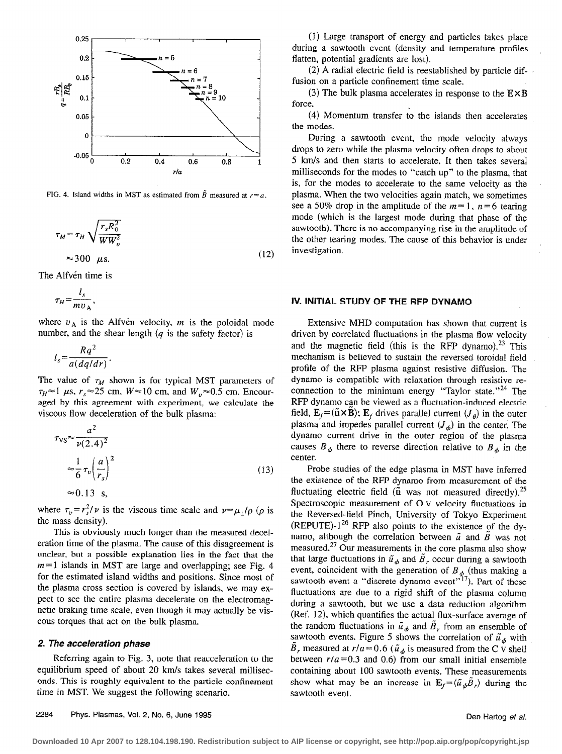

FIG. 4. Island widths in MST as estimated from  $\tilde{B}$  measured at  $r = a$ .

$$
\tau_M = \tau_H \sqrt{\frac{r_s R_0^2}{WW_v^2}}
$$
  

$$
\approx 300 \ \mu s.
$$
 (12)

The Alfvén time is

$$
\tau_H = \frac{l_s}{m v_A},
$$

where  $v_A$  is the Alfven velocity, m is the poloidal mode number, and the shear length  $(q$  is the safety factor) is

$$
l_s = \frac{Rq^2}{a(dq/dr)}.
$$

The value of  $\tau_M$  shown is for typical MST parameters of  $\tau_H \approx 1$  µs,  $r_s \approx 25$  cm,  $W \approx 10$  cm, and  $W_v \approx 0.5$  cm. Encouraged by this agreement with experiment, we calculate the viscous flow deceleration of the bulk plasma:

$$
\tau_{\text{VS}} \approx \frac{a^2}{\nu (2.4)^2}
$$
  
\n
$$
\approx \frac{1}{6} \tau_v \left(\frac{a}{r_s}\right)^2
$$
  
\n
$$
\approx 0.13 \text{ s},
$$
 (13)

where  $\tau_v = r_s^2/\nu$  is the viscous time scale and  $\nu = \mu_\perp/\rho$  ( $\rho$  is the mass density).

This is obviously much longer than the measured deceleration time of the plasma. The cause of this disagreement is unclear, but a possible explanation lies in the fact that the  $m=1$  islands in MST are large and overlapping; see Fig. 4 for the estimated island widths and positions. Since most of the plasma cross section is covered by islands, we may expect to see the entire plasma decelerate on the electromagnetic braking time scale, even though it may actually be viscous torques that act on the bulk plasma.

#### 2. The acceleration phase

Referring again to Fig. 3, note that reacceleration to the equilibrium speed of about 20 km/s takes several milliseconds. This is roughly equivalent to the particle confinement time in MST. We suggest the following scenario.

(1) Large transport of energy and particles takes place during a sawtooth event (density and temperature profiles flatten, potential gradients are lost}.

(2) A radial electric field is reestablished by particle diffusion on a particle confinement time scale.

(3) The bulk plasma accelerates in response to the  $E \times B$ force.

(4) Momentum transfer to the islands then accelerates the modes.

During a sawtooth event, the mode velocity always drops to zero while the plasma velocity often drops to about 5 km/s and then starts to accelerate. It then takes several milliseconds for the modes to "catch up" to the plasma, that is, for the modes to accelerate to the same velocity as the plasma. When the two velocities again match, we sometimes see a 50% drop in the amplitude of the  $m=1$ ,  $n=6$  tearing mode (which is the largest mode during that phase of the sawtooth). There is no accompanying rise in the amplitude of the other tearing modes. The cause of this behavior is under investigation.

#### IV. INITIAL STUDY OF THE RFP DYNAMO

Extensive MHD computation has shown that current is driven by correlated fluctuations in the plasma flow veIocity and the magnetic field (this is the RFP dynamo).<sup>23</sup> This mechanism is believed to sustain the reversed toroidal field profile of the RFP plasma against resistive diffusion. The dynamo is compatible with relaxation through resistive reconnection to the minimum energy "Taylor state."<sup>24</sup> The RFP dynamo can be viewed as a fluctuation-induced electric field,  $\mathbf{E}_f = (\tilde{\mathbf{u}} \times \mathbf{B})$ ;  $\mathbf{E}_f$  drives parallel current  $(J_{\theta})$  in the outer plasma and impedes parallel current  $(J_{\phi})$  in the center. The dynamo current drive in the outer region of the plasma causes  $B_{\phi}$  there to reverse direction relative to  $B_{\phi}$  in the center.

Probe studies of the edge plasma in MST have inferred the existence of the RFP dynamo from measurement of the fluctuating electric field ( $\tilde{u}$  was not measured directly).<sup>25</sup> Spectroscopic measurement of 0 V velocity fluctuations in the Reversed-field Pinch, University of Tokyo Experiment (REPUTE)- $1^{26}$  RFP also points to the existence of the dynamo, although the correlation between  $\tilde{u}$  and  $\tilde{B}$  was not measured.<sup>27</sup> Our measurements in the core plasma also show that large fluctuations in  $\tilde{u}_{\phi}$  and  $\tilde{B}_r$  occur during a sawtooth event, coincident with the generation of  $B_{\phi}$  (thus making a sawtooth event a "discrete dynamo event"<sup>17</sup>). Part of these fluctuations are due to a rigid shift of the plasma column during a sawtooth, but we use a data reduction algorithm (Ref. 12), which quantifies the actual\_ flux-surface average of the random fluctuations in  $\tilde{u}_{\phi}$  and  $B_r$  from an ensemble of sawtooth events. Figure 5 shows the correlation of  $\tilde{u}_d$  with  $B_r$  measured at  $r/a = 0.6$  ( $\tilde{u}_\phi$  is measured from the C v shell between  $r/a = 0.3$  and 0.6) from our small initial ensemble containing about 100 sawtooth events. These measurements show what may be an increase in  $\mathbf{E}_f = \langle \tilde{u}_\phi \tilde{B}_r \rangle$  during the sawtooth event.

2284 Phys. Plasmas, Vol. 2, No. 6, June 1995 **Den Hartog et al.** 2284 Phys. Plasmas, Vol. 2, No. 6, June 1995